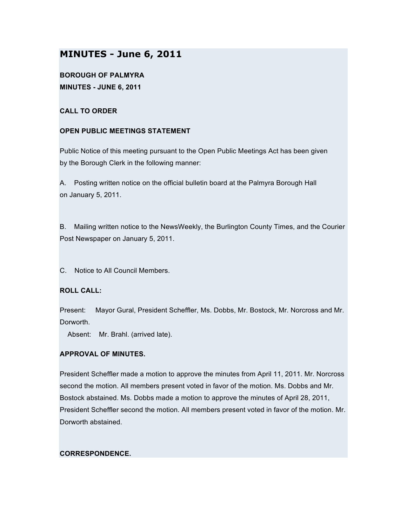# **MINUTES - June 6, 2011**

**BOROUGH OF PALMYRA MINUTES - JUNE 6, 2011**

# **CALL TO ORDER**

# **OPEN PUBLIC MEETINGS STATEMENT**

Public Notice of this meeting pursuant to the Open Public Meetings Act has been given by the Borough Clerk in the following manner:

A. Posting written notice on the official bulletin board at the Palmyra Borough Hall on January 5, 2011.

B. Mailing written notice to the NewsWeekly, the Burlington County Times, and the Courier Post Newspaper on January 5, 2011.

C. Notice to All Council Members.

## **ROLL CALL:**

Present: Mayor Gural, President Scheffler, Ms. Dobbs, Mr. Bostock, Mr. Norcross and Mr. Dorworth.

Absent: Mr. Brahl. (arrived late).

## **APPROVAL OF MINUTES.**

President Scheffler made a motion to approve the minutes from April 11, 2011. Mr. Norcross second the motion. All members present voted in favor of the motion. Ms. Dobbs and Mr. Bostock abstained. Ms. Dobbs made a motion to approve the minutes of April 28, 2011, President Scheffler second the motion. All members present voted in favor of the motion. Mr. Dorworth abstained.

## **CORRESPONDENCE.**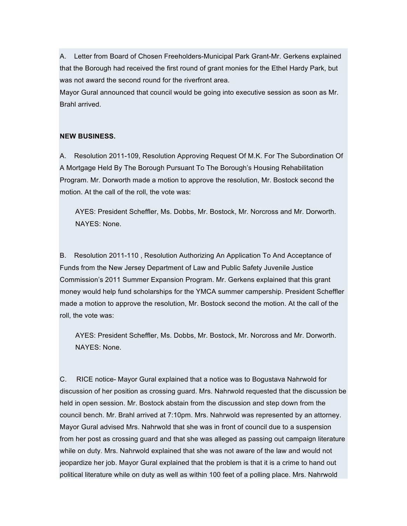A. Letter from Board of Chosen Freeholders-Municipal Park Grant-Mr. Gerkens explained that the Borough had received the first round of grant monies for the Ethel Hardy Park, but was not award the second round for the riverfront area.

Mayor Gural announced that council would be going into executive session as soon as Mr. Brahl arrived.

# **NEW BUSINESS.**

A. Resolution 2011-109, Resolution Approving Request Of M.K. For The Subordination Of A Mortgage Held By The Borough Pursuant To The Borough's Housing Rehabilitation Program. Mr. Dorworth made a motion to approve the resolution, Mr. Bostock second the motion. At the call of the roll, the vote was:

AYES: President Scheffler, Ms. Dobbs, Mr. Bostock, Mr. Norcross and Mr. Dorworth. NAYES: None.

B. Resolution 2011-110 , Resolution Authorizing An Application To And Acceptance of Funds from the New Jersey Department of Law and Public Safety Juvenile Justice Commission's 2011 Summer Expansion Program. Mr. Gerkens explained that this grant money would help fund scholarships for the YMCA summer campership. President Scheffler made a motion to approve the resolution, Mr. Bostock second the motion. At the call of the roll, the vote was:

AYES: President Scheffler, Ms. Dobbs, Mr. Bostock, Mr. Norcross and Mr. Dorworth. NAYES: None.

C. RICE notice- Mayor Gural explained that a notice was to Bogustava Nahrwold for discussion of her position as crossing guard. Mrs. Nahrwold requested that the discussion be held in open session. Mr. Bostock abstain from the discussion and step down from the council bench. Mr. Brahl arrived at 7:10pm. Mrs. Nahrwold was represented by an attorney. Mayor Gural advised Mrs. Nahrwold that she was in front of council due to a suspension from her post as crossing guard and that she was alleged as passing out campaign literature while on duty. Mrs. Nahrwold explained that she was not aware of the law and would not jeopardize her job. Mayor Gural explained that the problem is that it is a crime to hand out political literature while on duty as well as within 100 feet of a polling place. Mrs. Nahrwold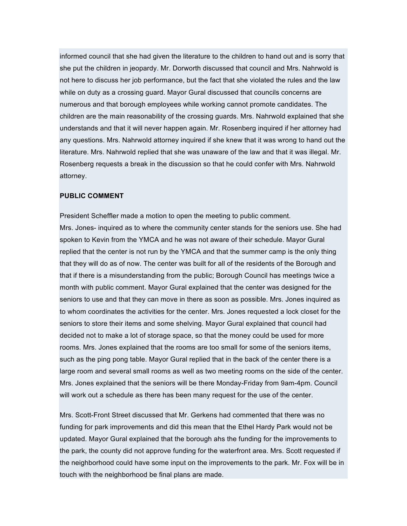informed council that she had given the literature to the children to hand out and is sorry that she put the children in jeopardy. Mr. Dorworth discussed that council and Mrs. Nahrwold is not here to discuss her job performance, but the fact that she violated the rules and the law while on duty as a crossing guard. Mayor Gural discussed that councils concerns are numerous and that borough employees while working cannot promote candidates. The children are the main reasonability of the crossing guards. Mrs. Nahrwold explained that she understands and that it will never happen again. Mr. Rosenberg inquired if her attorney had any questions. Mrs. Nahrwold attorney inquired if she knew that it was wrong to hand out the literature. Mrs. Nahrwold replied that she was unaware of the law and that it was illegal. Mr. Rosenberg requests a break in the discussion so that he could confer with Mrs. Nahrwold attorney.

#### **PUBLIC COMMENT**

President Scheffler made a motion to open the meeting to public comment. Mrs. Jones- inquired as to where the community center stands for the seniors use. She had spoken to Kevin from the YMCA and he was not aware of their schedule. Mayor Gural replied that the center is not run by the YMCA and that the summer camp is the only thing that they will do as of now. The center was built for all of the residents of the Borough and that if there is a misunderstanding from the public; Borough Council has meetings twice a month with public comment. Mayor Gural explained that the center was designed for the seniors to use and that they can move in there as soon as possible. Mrs. Jones inquired as to whom coordinates the activities for the center. Mrs. Jones requested a lock closet for the seniors to store their items and some shelving. Mayor Gural explained that council had decided not to make a lot of storage space, so that the money could be used for more rooms. Mrs. Jones explained that the rooms are too small for some of the seniors items, such as the ping pong table. Mayor Gural replied that in the back of the center there is a large room and several small rooms as well as two meeting rooms on the side of the center. Mrs. Jones explained that the seniors will be there Monday-Friday from 9am-4pm. Council will work out a schedule as there has been many request for the use of the center.

Mrs. Scott-Front Street discussed that Mr. Gerkens had commented that there was no funding for park improvements and did this mean that the Ethel Hardy Park would not be updated. Mayor Gural explained that the borough ahs the funding for the improvements to the park, the county did not approve funding for the waterfront area. Mrs. Scott requested if the neighborhood could have some input on the improvements to the park. Mr. Fox will be in touch with the neighborhood be final plans are made.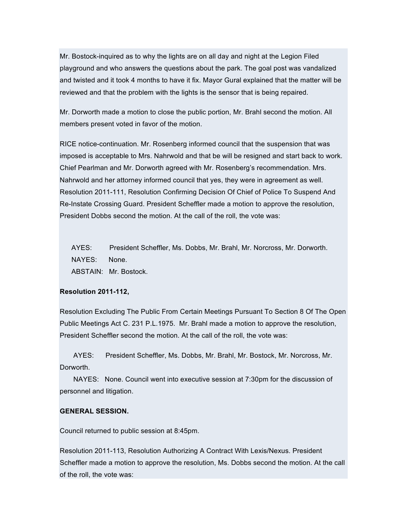Mr. Bostock-inquired as to why the lights are on all day and night at the Legion Filed playground and who answers the questions about the park. The goal post was vandalized and twisted and it took 4 months to have it fix. Mayor Gural explained that the matter will be reviewed and that the problem with the lights is the sensor that is being repaired.

Mr. Dorworth made a motion to close the public portion, Mr. Brahl second the motion. All members present voted in favor of the motion.

RICE notice-continuation. Mr. Rosenberg informed council that the suspension that was imposed is acceptable to Mrs. Nahrwold and that be will be resigned and start back to work. Chief Pearlman and Mr. Dorworth agreed with Mr. Rosenberg's recommendation. Mrs. Nahrwold and her attorney informed council that yes, they were in agreement as well. Resolution 2011-111, Resolution Confirming Decision Of Chief of Police To Suspend And Re-Instate Crossing Guard. President Scheffler made a motion to approve the resolution, President Dobbs second the motion. At the call of the roll, the vote was:

AYES: President Scheffler, Ms. Dobbs, Mr. Brahl, Mr. Norcross, Mr. Dorworth. NAYES: None. ABSTAIN: Mr. Bostock.

#### **Resolution 2011-112,**

Resolution Excluding The Public From Certain Meetings Pursuant To Section 8 Of The Open Public Meetings Act C. 231 P.L.1975. Mr. Brahl made a motion to approve the resolution, President Scheffler second the motion. At the call of the roll, the vote was:

AYES: President Scheffler, Ms. Dobbs, Mr. Brahl, Mr. Bostock, Mr. Norcross, Mr. Dorworth.

NAYES: None. Council went into executive session at 7:30pm for the discussion of personnel and litigation.

#### **GENERAL SESSION.**

Council returned to public session at 8:45pm.

Resolution 2011-113, Resolution Authorizing A Contract With Lexis/Nexus. President Scheffler made a motion to approve the resolution, Ms. Dobbs second the motion. At the call of the roll, the vote was: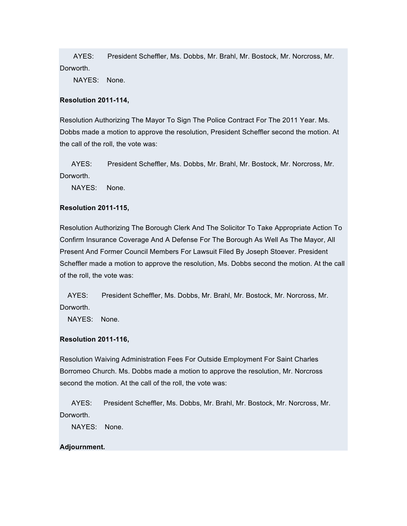AYES: President Scheffler, Ms. Dobbs, Mr. Brahl, Mr. Bostock, Mr. Norcross, Mr. Dorworth.

NAYES: None.

#### **Resolution 2011-114,**

Resolution Authorizing The Mayor To Sign The Police Contract For The 2011 Year. Ms. Dobbs made a motion to approve the resolution, President Scheffler second the motion. At the call of the roll, the vote was:

AYES: President Scheffler, Ms. Dobbs, Mr. Brahl, Mr. Bostock, Mr. Norcross, Mr. Dorworth.

NAYES: None.

## **Resolution 2011-115,**

Resolution Authorizing The Borough Clerk And The Solicitor To Take Appropriate Action To Confirm Insurance Coverage And A Defense For The Borough As Well As The Mayor, All Present And Former Council Members For Lawsuit Filed By Joseph Stoever. President Scheffler made a motion to approve the resolution, Ms. Dobbs second the motion. At the call of the roll, the vote was:

AYES: President Scheffler, Ms. Dobbs, Mr. Brahl, Mr. Bostock, Mr. Norcross, Mr. Dorworth.

NAYES: None.

## **Resolution 2011-116,**

Resolution Waiving Administration Fees For Outside Employment For Saint Charles Borromeo Church. Ms. Dobbs made a motion to approve the resolution, Mr. Norcross second the motion. At the call of the roll, the vote was:

AYES: President Scheffler, Ms. Dobbs, Mr. Brahl, Mr. Bostock, Mr. Norcross, Mr. Dorworth.

NAYES: None.

#### **Adjournment.**